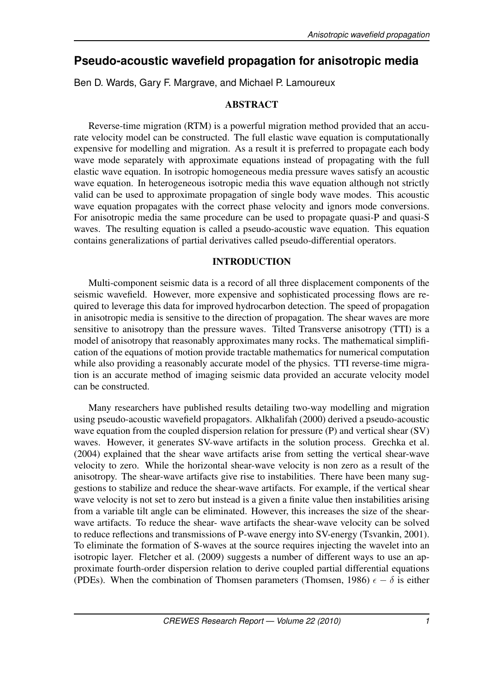# **Pseudo-acoustic wavefield propagation for anisotropic media**

Ben D. Wards, Gary F. Margrave, and Michael P. Lamoureux

# ABSTRACT

Reverse-time migration (RTM) is a powerful migration method provided that an accurate velocity model can be constructed. The full elastic wave equation is computationally expensive for modelling and migration. As a result it is preferred to propagate each body wave mode separately with approximate equations instead of propagating with the full elastic wave equation. In isotropic homogeneous media pressure waves satisfy an acoustic wave equation. In heterogeneous isotropic media this wave equation although not strictly valid can be used to approximate propagation of single body wave modes. This acoustic wave equation propagates with the correct phase velocity and ignors mode conversions. For anisotropic media the same procedure can be used to propagate quasi-P and quasi-S waves. The resulting equation is called a pseudo-acoustic wave equation. This equation contains generalizations of partial derivatives called pseudo-differential operators.

# INTRODUCTION

Multi-component seismic data is a record of all three displacement components of the seismic wavefield. However, more expensive and sophisticated processing flows are required to leverage this data for improved hydrocarbon detection. The speed of propagation in anisotropic media is sensitive to the direction of propagation. The shear waves are more sensitive to anisotropy than the pressure waves. Tilted Transverse anisotropy (TTI) is a model of anisotropy that reasonably approximates many rocks. The mathematical simplification of the equations of motion provide tractable mathematics for numerical computation while also providing a reasonably accurate model of the physics. TTI reverse-time migration is an accurate method of imaging seismic data provided an accurate velocity model can be constructed.

Many researchers have published results detailing two-way modelling and migration using pseudo-acoustic wavefield propagators. Alkhalifah (2000) derived a pseudo-acoustic wave equation from the coupled dispersion relation for pressure (P) and vertical shear (SV) waves. However, it generates SV-wave artifacts in the solution process. Grechka et al. (2004) explained that the shear wave artifacts arise from setting the vertical shear-wave velocity to zero. While the horizontal shear-wave velocity is non zero as a result of the anisotropy. The shear-wave artifacts give rise to instabilities. There have been many suggestions to stabilize and reduce the shear-wave artifacts. For example, if the vertical shear wave velocity is not set to zero but instead is a given a finite value then instabilities arising from a variable tilt angle can be eliminated. However, this increases the size of the shearwave artifacts. To reduce the shear- wave artifacts the shear-wave velocity can be solved to reduce reflections and transmissions of P-wave energy into SV-energy (Tsvankin, 2001). To eliminate the formation of S-waves at the source requires injecting the wavelet into an isotropic layer. Fletcher et al. (2009) suggests a number of different ways to use an approximate fourth-order dispersion relation to derive coupled partial differential equations (PDEs). When the combination of Thomsen parameters (Thomsen, 1986)  $\epsilon - \delta$  is either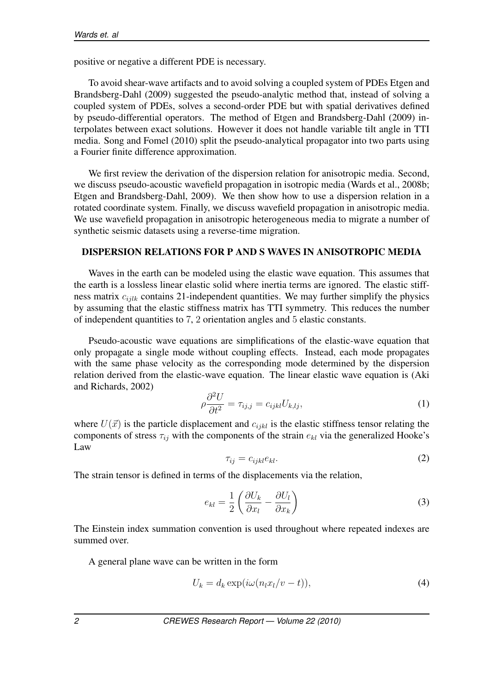positive or negative a different PDE is necessary.

To avoid shear-wave artifacts and to avoid solving a coupled system of PDEs Etgen and Brandsberg-Dahl (2009) suggested the pseudo-analytic method that, instead of solving a coupled system of PDEs, solves a second-order PDE but with spatial derivatives defined by pseudo-differential operators. The method of Etgen and Brandsberg-Dahl (2009) interpolates between exact solutions. However it does not handle variable tilt angle in TTI media. Song and Fomel (2010) split the pseudo-analytical propagator into two parts using a Fourier finite difference approximation.

We first review the derivation of the dispersion relation for anisotropic media. Second, we discuss pseudo-acoustic wavefield propagation in isotropic media (Wards et al., 2008b; Etgen and Brandsberg-Dahl, 2009). We then show how to use a dispersion relation in a rotated coordinate system. Finally, we discuss wavefield propagation in anisotropic media. We use wavefield propagation in anisotropic heterogeneous media to migrate a number of synthetic seismic datasets using a reverse-time migration.

### DISPERSION RELATIONS FOR P AND S WAVES IN ANISOTROPIC MEDIA

Waves in the earth can be modeled using the elastic wave equation. This assumes that the earth is a lossless linear elastic solid where inertia terms are ignored. The elastic stiffness matrix *cijlk* contains 21-independent quantities. We may further simplify the physics by assuming that the elastic stiffness matrix has TTI symmetry. This reduces the number of independent quantities to 7, 2 orientation angles and 5 elastic constants.

Pseudo-acoustic wave equations are simplifications of the elastic-wave equation that only propagate a single mode without coupling effects. Instead, each mode propagates with the same phase velocity as the corresponding mode determined by the dispersion relation derived from the elastic-wave equation. The linear elastic wave equation is (Aki and Richards, 2002)

$$
\rho \frac{\partial^2 U}{\partial t^2} = \tau_{ij,j} = c_{ijkl} U_{k,lj},\tag{1}
$$

where  $U(\vec{x})$  is the particle displacement and  $c_{ijkl}$  is the elastic stiffness tensor relating the components of stress *τij* with the components of the strain *ekl* via the generalized Hooke's Law

$$
\tau_{ij} = c_{ijkl} e_{kl}.\tag{2}
$$

The strain tensor is defined in terms of the displacements via the relation,

$$
e_{kl} = \frac{1}{2} \left( \frac{\partial U_k}{\partial x_l} - \frac{\partial U_l}{\partial x_k} \right) \tag{3}
$$

The Einstein index summation convention is used throughout where repeated indexes are summed over.

A general plane wave can be written in the form

$$
U_k = d_k \exp(i\omega(n_l x_l/v - t)), \qquad (4)
$$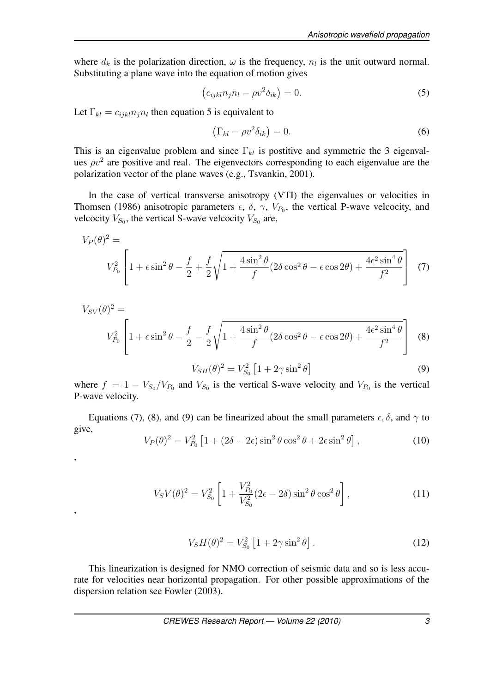where  $d_k$  is the polarization direction,  $\omega$  is the frequency,  $n_l$  is the unit outward normal. Substituting a plane wave into the equation of motion gives

$$
(c_{ijkl}n_jn_l - \rho v^2 \delta_{ik}) = 0.
$$
\n(5)

Let  $\Gamma_{kl} = c_{ijkl} n_j n_l$  then equation 5 is equivalent to

,

,

$$
\left(\Gamma_{kl} - \rho v^2 \delta_{ik}\right) = 0. \tag{6}
$$

This is an eigenvalue problem and since Γ*kl* is postitive and symmetric the 3 eigenvalues  $\rho v^2$  are positive and real. The eigenvectors corresponding to each eigenvalue are the polarization vector of the plane waves (e.g., Tsvankin, 2001).

In the case of vertical transverse anisotropy (VTI) the eigenvalues or velocities in Thomsen (1986) anisotropic parameters  $\epsilon$ ,  $\delta$ ,  $\gamma$ ,  $V_{P_0}$ , the vertical P-wave velcocity, and velcocity  $V_{S_0}$ , the vertical S-wave velcocity  $V_{S_0}$  are,

$$
V_P(\theta)^2 = V_{P_0}^2 \left[ 1 + \epsilon \sin^2 \theta - \frac{f}{2} + \frac{f}{2} \sqrt{1 + \frac{4 \sin^2 \theta}{f} (2 \delta \cos^2 \theta - \epsilon \cos 2\theta) + \frac{4 \epsilon^2 \sin^4 \theta}{f^2}} \right] (7)
$$

$$
V_{SV}(\theta)^2 =
$$
  
\n
$$
V_{P_0}^2 \left[ 1 + \epsilon \sin^2 \theta - \frac{f}{2} - \frac{f}{2} \sqrt{1 + \frac{4 \sin^2 \theta}{f} (2 \delta \cos^2 \theta - \epsilon \cos 2\theta) + \frac{4\epsilon^2 \sin^4 \theta}{f^2}} \right]
$$
 (8)  
\n
$$
V_{SH}(\theta)^2 = V_{S_0}^2 \left[ 1 + 2\gamma \sin^2 \theta \right]
$$
 (9)

where  $f = 1 - V_{S_0}/V_{P_0}$  and  $V_{S_0}$  is the vertical S-wave velocity and  $V_{P_0}$  is the vertical P-wave velocity.

Equations (7), (8), and (9) can be linearized about the small parameters  $\epsilon, \delta$ , and  $\gamma$  to give,

$$
V_P(\theta)^2 = V_{P_0}^2 \left[ 1 + (2\delta - 2\epsilon) \sin^2 \theta \cos^2 \theta + 2\epsilon \sin^2 \theta \right],\tag{10}
$$

$$
V_S V(\theta)^2 = V_{S_0}^2 \left[ 1 + \frac{V_{P_0}^2}{V_{S_0}^2} (2\epsilon - 2\delta) \sin^2 \theta \cos^2 \theta \right],
$$
 (11)

$$
V_S H(\theta)^2 = V_{S_0}^2 \left[ 1 + 2\gamma \sin^2 \theta \right].
$$
 (12)

This linearization is designed for NMO correction of seismic data and so is less accurate for velocities near horizontal propagation. For other possible approximations of the dispersion relation see Fowler (2003).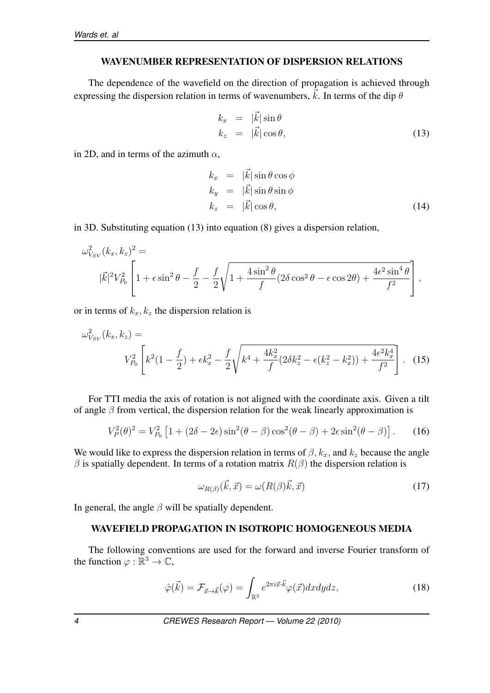## WAVENUMBER REPRESENTATION OF DISPERSION RELATIONS

The dependence of the wavefield on the direction of propagation is achieved through expressing the dispersion relation in terms of wavenumbers,  $\vec{k}$ . In terms of the dip  $\theta$ 

$$
k_x = |\vec{k}| \sin \theta
$$
  
\n
$$
k_z = |\vec{k}| \cos \theta,
$$
\n(13)

in 2D, and in terms of the azimuth *α*,

$$
k_x = |\vec{k}| \sin \theta \cos \phi
$$
  
\n
$$
k_y = |\vec{k}| \sin \theta \sin \phi
$$
  
\n
$$
k_z = |\vec{k}| \cos \theta,
$$
\n(14)

in 3D. Substituting equation (13) into equation (8) gives a dispersion relation,

$$
\omega_{V_{SV}}^2(k_x, k_z)^2 =
$$
  

$$
|\vec{k}|^2 V_{P_0}^2 \left[1 + \epsilon \sin^2 \theta - \frac{f}{2} - \frac{f}{2} \sqrt{1 + \frac{4 \sin^2 \theta}{f} (2 \delta \cos^2 \theta - \epsilon \cos 2\theta) + \frac{4 \epsilon^2 \sin^4 \theta}{f^2}}\right],
$$

or in terms of  $k_x, k_z$  the dispersion relation is

$$
\omega_{V_{SV}}^2(k_x, k_z) = V_{P_0}^2 \left[ k^2 (1 - \frac{f}{2}) + \epsilon k_x^2 - \frac{f}{2} \sqrt{k^4 + \frac{4k_x^2}{f} (2\delta k_z^2 - \epsilon (k_z^2 - k_x^2)) + \frac{4\epsilon^2 k_x^4}{f^2}} \right].
$$
 (15)

For TTI media the axis of rotation is not aligned with the coordinate axis. Given a tilt of angle *β* from vertical, the dispersion relation for the weak linearly approximation is

$$
V_P^2(\theta)^2 = V_{P_0}^2 \left[ 1 + (2\delta - 2\epsilon) \sin^2(\theta - \beta) \cos^2(\theta - \beta) + 2\epsilon \sin^2(\theta - \beta) \right].
$$
 (16)

We would like to express the dispersion relation in terms of  $\beta$ ,  $k_x$ , and  $k_z$  because the angle  $β$  is spatially dependent. In terms of a rotation matrix  $R(β)$  the dispersion relation is

$$
\omega_{R(\beta)}(\vec{k}, \vec{x}) = \omega(R(\beta)\vec{k}, \vec{x})\tag{17}
$$

In general, the angle  $\beta$  will be spatially dependent.

#### WAVEFIELD PROPAGATION IN ISOTROPIC HOMOGENEOUS MEDIA

The following conventions are used for the forward and inverse Fourier transform of the function  $\varphi : \mathbb{R}^3 \to \mathbb{C}$ ,

$$
\hat{\varphi}(\vec{k}) = \mathcal{F}_{\vec{x} \to \vec{k}}(\varphi) = \int_{\mathbb{R}^3} e^{2\pi i \vec{x} \cdot \vec{k}} \varphi(\vec{x}) dx dy dz, \qquad (18)
$$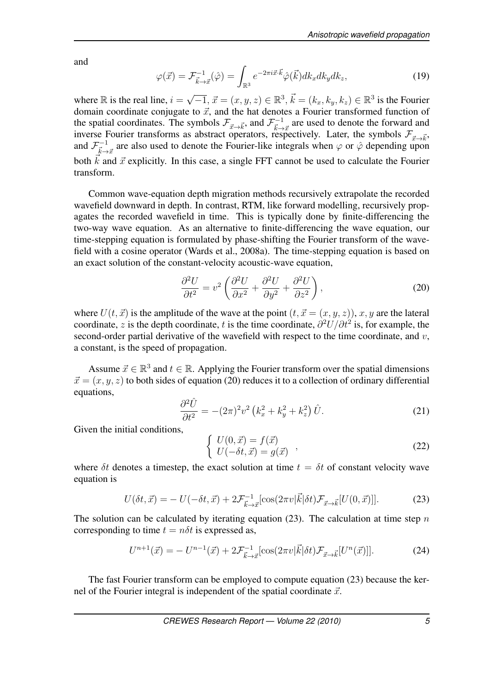and

$$
\varphi(\vec{x}) = \mathcal{F}_{\vec{k}\to\vec{x}}^{-1}(\hat{\varphi}) = \int_{\mathbb{R}^3} e^{-2\pi i \vec{x} \cdot \vec{k}} \hat{\varphi}(\vec{k}) dk_x dk_y dk_z, \qquad (19)
$$

where  $\mathbb R$  is the real line,  $i = \sqrt{-1}$ ,  $\vec{x} = (x, y, z) \in \mathbb R^3$ ,  $\vec{k} = (k_x, k_y, k_z) \in \mathbb R^3$  is the Fourier domain coordinate conjugate to  $\vec{x}$ , and the hat denotes a Fourier transformed function of the spatial coordinates. The symbols  $\mathcal{F}_{\vec{x}\to\vec{k}}$ , and  $\mathcal{F}_{\vec{k}\to\vec{x}}^{-1}$  are used to denote the forward and inverse. Fourier transforms as abstract operators,  $\vec{k}$ inverse Fourier transforms as abstract operators, respectively. Later, the symbols  $\mathcal{F}_{\vec{x}\to\vec{k}}$ , and  $\mathcal{F}^{-1}_{\vec{k}\to\vec{x}}$  are also used to denote the Fourier-like integrals when  $\varphi$  or  $\hat{\varphi}$  depending upon both  $\vec{k}$  and  $\vec{x}$  explicitly. In this case, a single FFT cannot be used to calculate the Fourier transform.

Common wave-equation depth migration methods recursively extrapolate the recorded wavefield downward in depth. In contrast, RTM, like forward modelling, recursively propagates the recorded wavefield in time. This is typically done by finite-differencing the two-way wave equation. As an alternative to finite-differencing the wave equation, our time-stepping equation is formulated by phase-shifting the Fourier transform of the wavefield with a cosine operator (Wards et al., 2008a). The time-stepping equation is based on an exact solution of the constant-velocity acoustic-wave equation,

$$
\frac{\partial^2 U}{\partial t^2} = v^2 \left( \frac{\partial^2 U}{\partial x^2} + \frac{\partial^2 U}{\partial y^2} + \frac{\partial^2 U}{\partial z^2} \right),\tag{20}
$$

where  $U(t, \vec{x})$  is the amplitude of the wave at the point  $(t, \vec{x} = (x, y, z))$ ,  $x, y$  are the lateral coordinate, *z* is the depth coordinate, *t* is the time coordinate, *∂* <sup>2</sup>*U/∂t*<sup>2</sup> is, for example, the second-order partial derivative of the wavefield with respect to the time coordinate, and *v*, a constant, is the speed of propagation.

Assume  $\vec{x} \in \mathbb{R}^3$  and  $t \in \mathbb{R}$ . Applying the Fourier transform over the spatial dimensions  $\vec{x} = (x, y, z)$  to both sides of equation (20) reduces it to a collection of ordinary differential equations,

$$
\frac{\partial^2 \hat{U}}{\partial t^2} = -(2\pi)^2 v^2 \left(k_x^2 + k_y^2 + k_z^2\right) \hat{U}.
$$
\n(21)

Given the initial conditions,

$$
\begin{cases}\nU(0, \vec{x}) = f(\vec{x}) \\
U(-\delta t, \vec{x}) = g(\vec{x})\n\end{cases} (22)
$$

where  $\delta t$  denotes a timestep, the exact solution at time  $t = \delta t$  of constant velocity wave equation is

$$
U(\delta t, \vec{x}) = -U(-\delta t, \vec{x}) + 2\mathcal{F}_{\vec{k}\to\vec{x}}^{-1} [\cos(2\pi v|\vec{k}|\delta t)\mathcal{F}_{\vec{x}\to\vec{k}}[U(0, \vec{x})]]. \tag{23}
$$

The solution can be calculated by iterating equation (23). The calculation at time step *n* corresponding to time  $t = n\delta t$  is expressed as,

$$
U^{n+1}(\vec{x}) = -U^{n-1}(\vec{x}) + 2\mathcal{F}^{-1}_{\vec{k}\to\vec{x}}[\cos(2\pi v|\vec{k}|\delta t)\mathcal{F}_{\vec{x}\to\vec{k}}[U^n(\vec{x})]].
$$
 (24)

The fast Fourier transform can be employed to compute equation (23) because the kernel of the Fourier integral is independent of the spatial coordinate  $\vec{x}$ .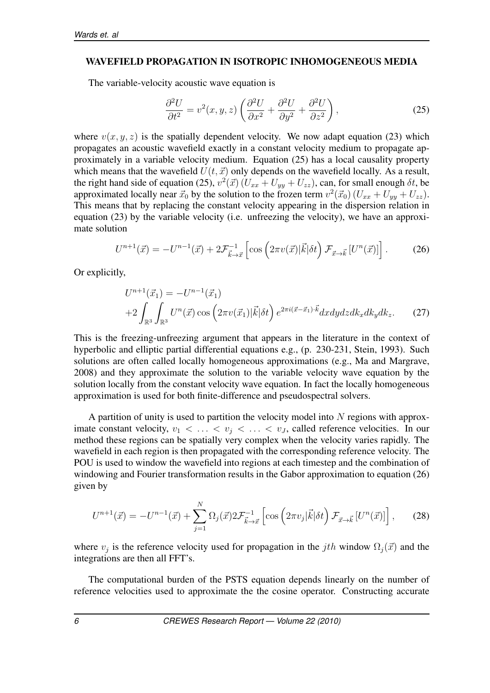#### WAVEFIELD PROPAGATION IN ISOTROPIC INHOMOGENEOUS MEDIA

The variable-velocity acoustic wave equation is

$$
\frac{\partial^2 U}{\partial t^2} = v^2(x, y, z) \left( \frac{\partial^2 U}{\partial x^2} + \frac{\partial^2 U}{\partial y^2} + \frac{\partial^2 U}{\partial z^2} \right),\tag{25}
$$

where  $v(x, y, z)$  is the spatially dependent velocity. We now adapt equation (23) which propagates an acoustic wavefield exactly in a constant velocity medium to propagate approximately in a variable velocity medium. Equation (25) has a local causality property which means that the wavefield  $U(t, \vec{x})$  only depends on the wavefield locally. As a result, the right hand side of equation (25),  $v^2(\vec{x}) (U_{xx} + U_{yy} + U_{zz})$ , can, for small enough  $\delta t$ , be approximated locally near  $\vec{x}_0$  by the solution to the frozen term  $v^2(\vec{x}_0)$  ( $U_{xx} + U_{yy} + U_{zz}$ ). This means that by replacing the constant velocity appearing in the dispersion relation in equation (23) by the variable velocity (i.e. unfreezing the velocity), we have an approximate solution

$$
U^{n+1}(\vec{x}) = -U^{n-1}(\vec{x}) + 2\mathcal{F}_{\vec{k}\to\vec{x}}^{-1} \left[ \cos\left(2\pi v(\vec{x})|\vec{k}|\delta t\right) \mathcal{F}_{\vec{x}\to\vec{k}} \left[U^n(\vec{x})\right] \right]. \tag{26}
$$

Or explicitly,

$$
U^{n+1}(\vec{x}_1) = -U^{n-1}(\vec{x}_1)
$$
  
+2
$$
\int_{\mathbb{R}^3} \int_{\mathbb{R}^3} U^n(\vec{x}) \cos\left(2\pi v(\vec{x}_1)|\vec{k}|\delta t\right) e^{2\pi i(\vec{x}-\vec{x}_1)\cdot \vec{k}} dx dy dz dk_x dk_y dk_z.
$$
 (27)

This is the freezing-unfreezing argument that appears in the literature in the context of hyperbolic and elliptic partial differential equations e.g., (p. 230-231, Stein, 1993). Such solutions are often called locally homogeneous approximations (e.g., Ma and Margrave, 2008) and they approximate the solution to the variable velocity wave equation by the solution locally from the constant velocity wave equation. In fact the locally homogeneous approximation is used for both finite-difference and pseudospectral solvers.

A partition of unity is used to partition the velocity model into *N* regions with approximate constant velocity,  $v_1 < \ldots < v_j < \ldots < v_J$ , called reference velocities. In our method these regions can be spatially very complex when the velocity varies rapidly. The wavefield in each region is then propagated with the corresponding reference velocity. The POU is used to window the wavefield into regions at each timestep and the combination of windowing and Fourier transformation results in the Gabor approximation to equation (26) given by

$$
U^{n+1}(\vec{x}) = -U^{n-1}(\vec{x}) + \sum_{j=1}^{N} \Omega_j(\vec{x}) 2 \mathcal{F}_{\vec{k}\to\vec{x}}^{-1} \left[ \cos \left( 2\pi v_j |\vec{k}| \delta t \right) \mathcal{F}_{\vec{x}\to\vec{k}} \left[ U^n(\vec{x}) \right] \right], \tag{28}
$$

where  $v_j$  is the reference velocity used for propagation in the *j*th window  $\Omega_j(\vec{x})$  and the integrations are then all FFT's.

The computational burden of the PSTS equation depends linearly on the number of reference velocities used to approximate the the cosine operator. Constructing accurate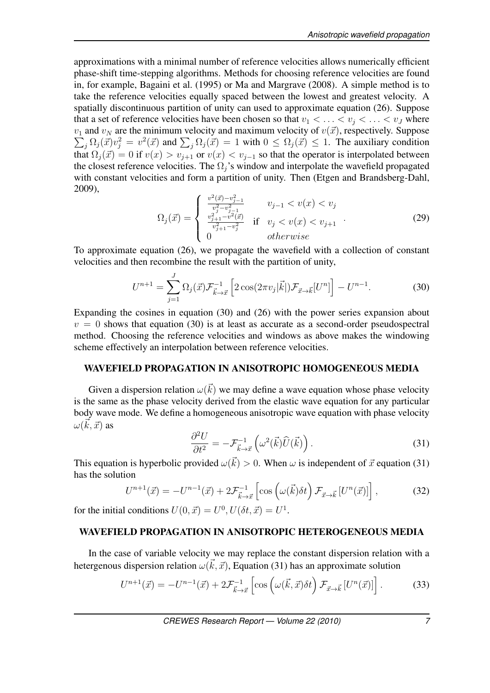approximations with a minimal number of reference velocities allows numerically efficient phase-shift time-stepping algorithms. Methods for choosing reference velocities are found in, for example, Bagaini et al. (1995) or Ma and Margrave (2008). A simple method is to take the reference velocities equally spaced between the lowest and greatest velocity. A spatially discontinuous partition of unity can used to approximate equation (26). Suppose that a set of reference velocities have been chosen so that  $v_1 < \ldots < v_j < \ldots < v_J$  where  $\sum_j \Omega_j(\vec{x}) v_j^2 = v^2(\vec{x})$  and  $\sum_j \Omega_j(\vec{x}) = 1$  with  $0 \le \Omega_j(\vec{x}) \le 1$ . The auxiliary condition  $v_1$  and  $v_N$  are the minimum velocity and maximum velocity of  $v(\vec{x})$ , respectively. Suppose that  $\Omega_j(\vec{x}) = 0$  if  $v(x) > v_{j+1}$  or  $v(x) < v_{j-1}$  so that the operator is interpolated between the closest reference velocities. The  $\Omega_j$ 's window and interpolate the wavefield propagated with constant velocities and form a partition of unity. Then (Etgen and Brandsberg-Dahl, 2009),

$$
\Omega_j(\vec{x}) = \begin{cases}\n\frac{v^2(\vec{x}) - v_{j-1}^2}{v_j^2 - v_{j-1}^2} & v_{j-1} < v(x) < v_j \\
\frac{v_{j+1}^2 - v_{j-1}^2}{v_{j+1}^2 - v_j^2} & \text{if } v_j < v(x) < v_{j+1} \\
0 & \text{otherwise}\n\end{cases} \tag{29}
$$

To approximate equation (26), we propagate the wavefield with a collection of constant velocities and then recombine the result with the partition of unity,

$$
U^{n+1} = \sum_{j=1}^{J} \Omega_j(\vec{x}) \mathcal{F}_{\vec{k}\to\vec{x}}^{-1} \left[ 2 \cos(2\pi v_j|\vec{k}|) \mathcal{F}_{\vec{x}\to\vec{k}}[U^n] \right] - U^{n-1}.
$$
 (30)

Expanding the cosines in equation (30) and (26) with the power series expansion about  $v = 0$  shows that equation (30) is at least as accurate as a second-order pseudospectral method. Choosing the reference velocities and windows as above makes the windowing scheme effectively an interpolation between reference velocities.

# WAVEFIELD PROPAGATION IN ANISOTROPIC HOMOGENEOUS MEDIA

Given a dispersion relation  $\omega(\vec{k})$  we may define a wave equation whose phase velocity is the same as the phase velocity derived from the elastic wave equation for any particular body wave mode. We define a homogeneous anisotropic wave equation with phase velocity  $\omega(\vec{k},\vec{x})$  as

$$
\frac{\partial^2 U}{\partial t^2} = -\mathcal{F}_{\vec{k}\to\vec{x}}^{-1} \left( \omega^2(\vec{k}) \hat{U}(\vec{k}) \right). \tag{31}
$$

This equation is hyperbolic provided  $\omega(\vec{k}) > 0$ . When  $\omega$  is independent of  $\vec{x}$  equation (31) has the solution

$$
U^{n+1}(\vec{x}) = -U^{n-1}(\vec{x}) + 2\mathcal{F}_{\vec{k}\to\vec{x}}^{-1} \left[ \cos\left(\omega(\vec{k})\delta t\right) \mathcal{F}_{\vec{x}\to\vec{k}} \left[U^n(\vec{x})\right] \right],\tag{32}
$$

for the initial conditions  $U(0, \vec{x}) = U^0, U(\delta t, \vec{x}) = U^1$ .

#### WAVEFIELD PROPAGATION IN ANISOTROPIC HETEROGENEOUS MEDIA

In the case of variable velocity we may replace the constant dispersion relation with a hetergenous dispersion relation  $\omega(\vec{k}, \vec{x})$ , Equation (31) has an approximate solution

$$
U^{n+1}(\vec{x}) = -U^{n-1}(\vec{x}) + 2\mathcal{F}^{-1}_{\vec{k}\to\vec{x}} \left[ \cos\left(\omega(\vec{k},\vec{x})\delta t\right) \mathcal{F}_{\vec{x}\to\vec{k}} \left[U^n(\vec{x})\right] \right]. \tag{33}
$$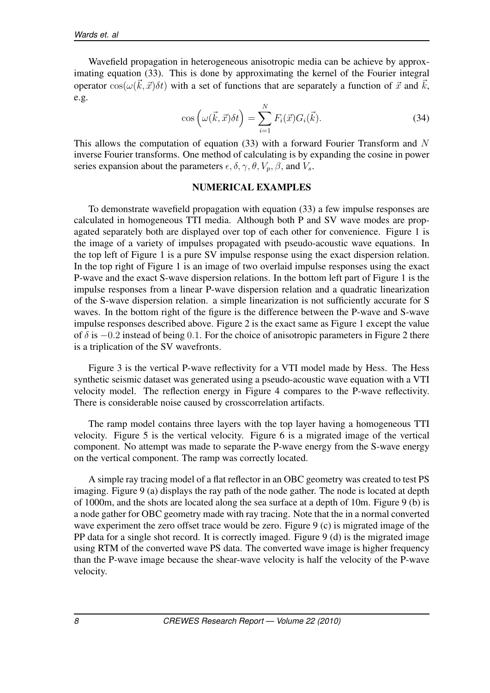Wavefield propagation in heterogeneous anisotropic media can be achieve by approximating equation (33). This is done by approximating the kernel of the Fourier integral operator  $cos(\omega(\vec{k}, \vec{x})\delta t)$  with a set of functions that are separately a function of  $\vec{x}$  and  $\vec{k}$ , e.g.

$$
\cos\left(\omega(\vec{k},\vec{x})\delta t\right) = \sum_{i=1}^{N} F_i(\vec{x})G_i(\vec{k}).\tag{34}
$$

This allows the computation of equation (33) with a forward Fourier Transform and *N* inverse Fourier transforms. One method of calculating is by expanding the cosine in power series expansion about the parameters  $\epsilon, \delta, \gamma, \theta, V_p, \beta$ , and  $V_s$ .

#### NUMERICAL EXAMPLES

To demonstrate wavefield propagation with equation (33) a few impulse responses are calculated in homogeneous TTI media. Although both P and SV wave modes are propagated separately both are displayed over top of each other for convenience. Figure 1 is the image of a variety of impulses propagated with pseudo-acoustic wave equations. In the top left of Figure 1 is a pure SV impulse response using the exact dispersion relation. In the top right of Figure 1 is an image of two overlaid impulse responses using the exact P-wave and the exact S-wave dispersion relations. In the bottom left part of Figure 1 is the impulse responses from a linear P-wave dispersion relation and a quadratic linearization of the S-wave dispersion relation. a simple linearization is not sufficiently accurate for S waves. In the bottom right of the figure is the difference between the P-wave and S-wave impulse responses described above. Figure 2 is the exact same as Figure 1 except the value of *δ* is *−*0*.*2 instead of being 0*.*1. For the choice of anisotropic parameters in Figure 2 there is a triplication of the SV wavefronts.

Figure 3 is the vertical P-wave reflectivity for a VTI model made by Hess. The Hess synthetic seismic dataset was generated using a pseudo-acoustic wave equation with a VTI velocity model. The reflection energy in Figure 4 compares to the P-wave reflectivity. There is considerable noise caused by crosscorrelation artifacts.

The ramp model contains three layers with the top layer having a homogeneous TTI velocity. Figure 5 is the vertical velocity. Figure 6 is a migrated image of the vertical component. No attempt was made to separate the P-wave energy from the S-wave energy on the vertical component. The ramp was correctly located.

A simple ray tracing model of a flat reflector in an OBC geometry was created to test PS imaging. Figure 9 (a) displays the ray path of the node gather. The node is located at depth of 1000m, and the shots are located along the sea surface at a depth of 10m. Figure 9 (b) is a node gather for OBC geometry made with ray tracing. Note that the in a normal converted wave experiment the zero offset trace would be zero. Figure 9 (c) is migrated image of the PP data for a single shot record. It is correctly imaged. Figure 9 (d) is the migrated image using RTM of the converted wave PS data. The converted wave image is higher frequency than the P-wave image because the shear-wave velocity is half the velocity of the P-wave velocity.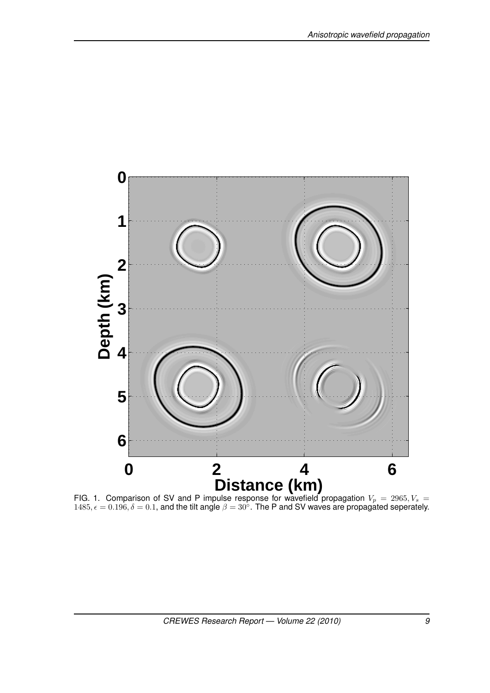

FIG. 1. Comparison of SV and P impulse response for wavefield propagation  $V_p = 2965, V_s =$ ,  $\epsilon = 0.196$ ,  $\delta = 0.1$ , and the tilt angle  $\beta = 30^\circ$ . The P and SV waves are propagated seperately.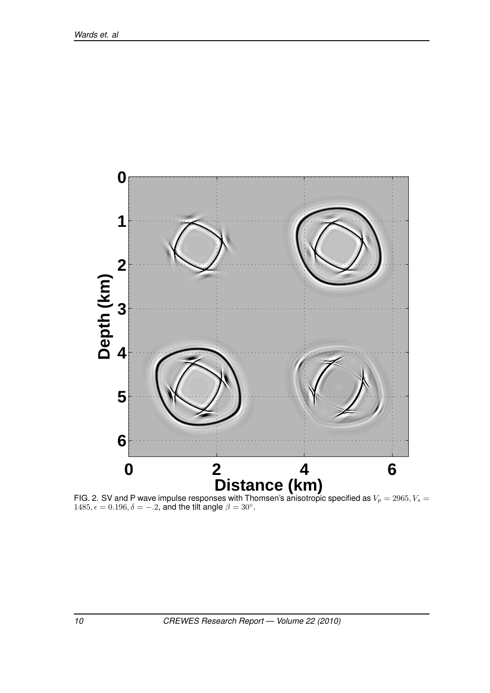

FIG. 2. SV and P wave impulse responses with Thomsen's anisotropic specified as  $V_p = 2965, V_s =$  $1485, \epsilon = 0.196, \delta = -.2$ , and the tilt angle  $\beta = 30^\circ$ .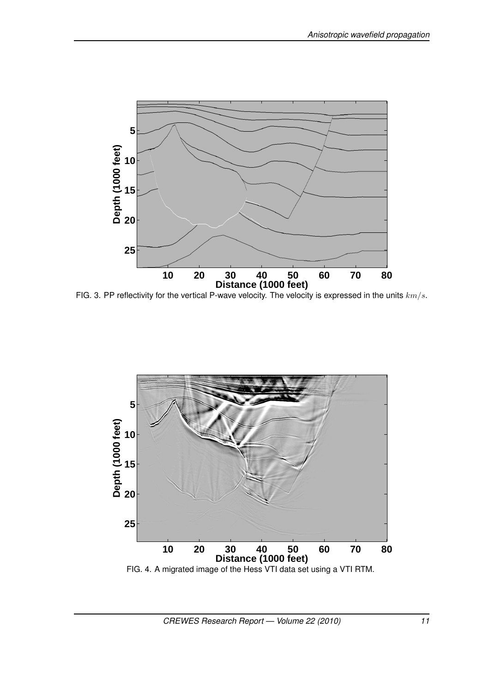

FIG. 3. PP reflectivity for the vertical P-wave velocity. The velocity is expressed in the units *km/s*.

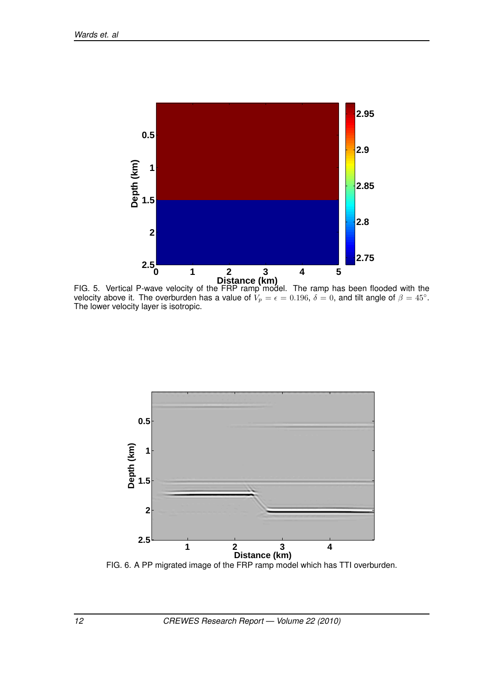

FIG. 5. Vertical P-wave velocity of the FRP ramp model. The ramp has been flooded with the velocity above it. The overburden has a value of  $V_p=\epsilon=0.196,\,\delta=0,$  and tilt angle of  $\beta=45^\circ$ . The lower velocity layer is isotropic.



FIG. 6. A PP migrated image of the FRP ramp model which has TTI overburden.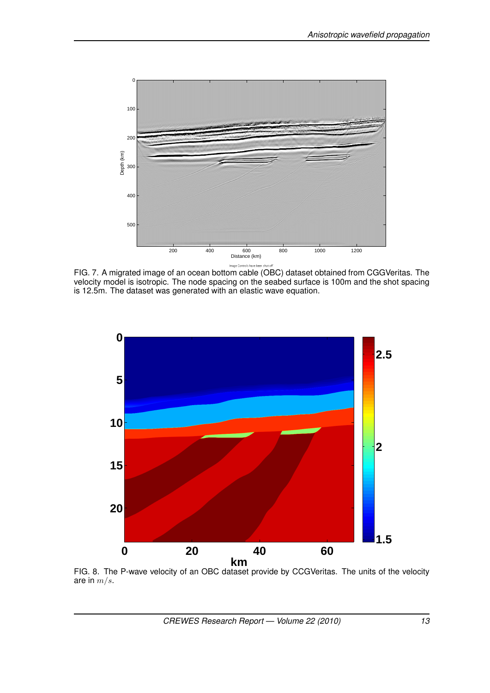

FIG. 7. A migrated image of an ocean bottom cable (OBC) dataset obtained from CGGVeritas. The velocity model is isotropic. The node spacing on the seabed surface is 100m and the shot spacing is 12.5m. The dataset was generated with an elastic wave equation.



FIG. 8. The P-wave velocity of an OBC dataset provide by CCGVeritas. The units of the velocity are in *m/s*.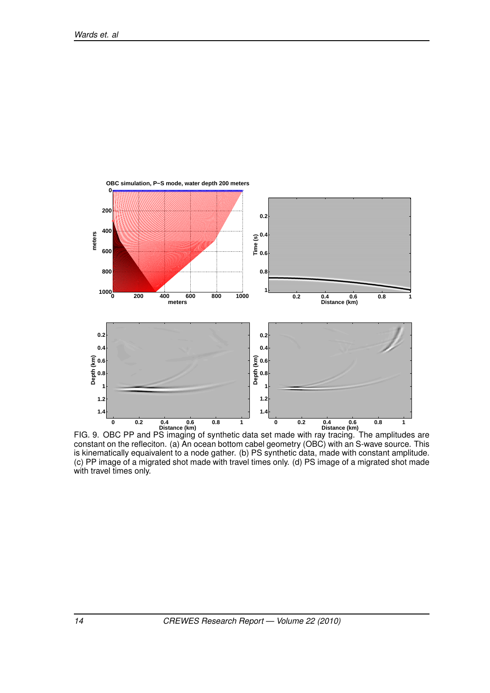

FIG. 9. OBC PP and PS imaging of synthetic data set made with ray tracing. The amplitudes are constant on the refleciton. (a) An ocean bottom cabel geometry (OBC) with an S-wave source. This is kinematically equaivalent to a node gather. (b) PS synthetic data, made with constant amplitude. (c) PP image of a migrated shot made with travel times only. (d) PS image of a migrated shot made with travel times only.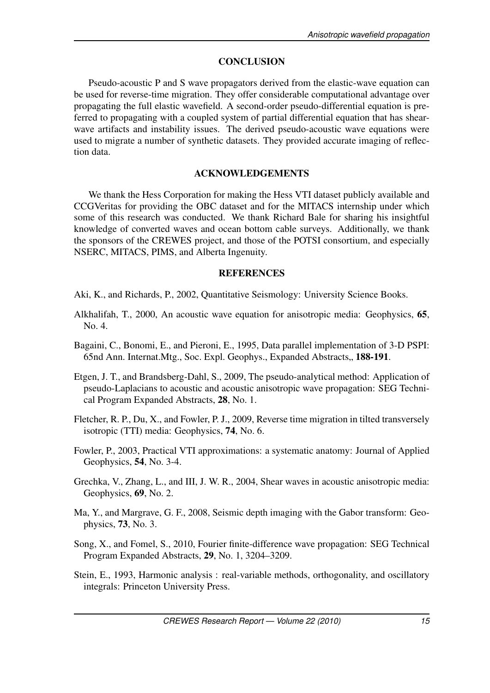# **CONCLUSION**

Pseudo-acoustic P and S wave propagators derived from the elastic-wave equation can be used for reverse-time migration. They offer considerable computational advantage over propagating the full elastic wavefield. A second-order pseudo-differential equation is preferred to propagating with a coupled system of partial differential equation that has shearwave artifacts and instability issues. The derived pseudo-acoustic wave equations were used to migrate a number of synthetic datasets. They provided accurate imaging of reflection data.

# ACKNOWLEDGEMENTS

We thank the Hess Corporation for making the Hess VTI dataset publicly available and CCGVeritas for providing the OBC dataset and for the MITACS internship under which some of this research was conducted. We thank Richard Bale for sharing his insightful knowledge of converted waves and ocean bottom cable surveys. Additionally, we thank the sponsors of the CREWES project, and those of the POTSI consortium, and especially NSERC, MITACS, PIMS, and Alberta Ingenuity.

# **REFERENCES**

Aki, K., and Richards, P., 2002, Quantitative Seismology: University Science Books.

- Alkhalifah, T., 2000, An acoustic wave equation for anisotropic media: Geophysics, 65, No. 4.
- Bagaini, C., Bonomi, E., and Pieroni, E., 1995, Data parallel implementation of 3-D PSPI: 65nd Ann. Internat.Mtg., Soc. Expl. Geophys., Expanded Abstracts, 188-191.
- Etgen, J. T., and Brandsberg-Dahl, S., 2009, The pseudo-analytical method: Application of pseudo-Laplacians to acoustic and acoustic anisotropic wave propagation: SEG Technical Program Expanded Abstracts, 28, No. 1.
- Fletcher, R. P., Du, X., and Fowler, P. J., 2009, Reverse time migration in tilted transversely isotropic (TTI) media: Geophysics, 74, No. 6.
- Fowler, P., 2003, Practical VTI approximations: a systematic anatomy: Journal of Applied Geophysics, 54, No. 3-4.
- Grechka, V., Zhang, L., and III, J. W. R., 2004, Shear waves in acoustic anisotropic media: Geophysics, 69, No. 2.
- Ma, Y., and Margrave, G. F., 2008, Seismic depth imaging with the Gabor transform: Geophysics, 73, No. 3.
- Song, X., and Fomel, S., 2010, Fourier finite-difference wave propagation: SEG Technical Program Expanded Abstracts, 29, No. 1, 3204–3209.
- Stein, E., 1993, Harmonic analysis : real-variable methods, orthogonality, and oscillatory integrals: Princeton University Press.